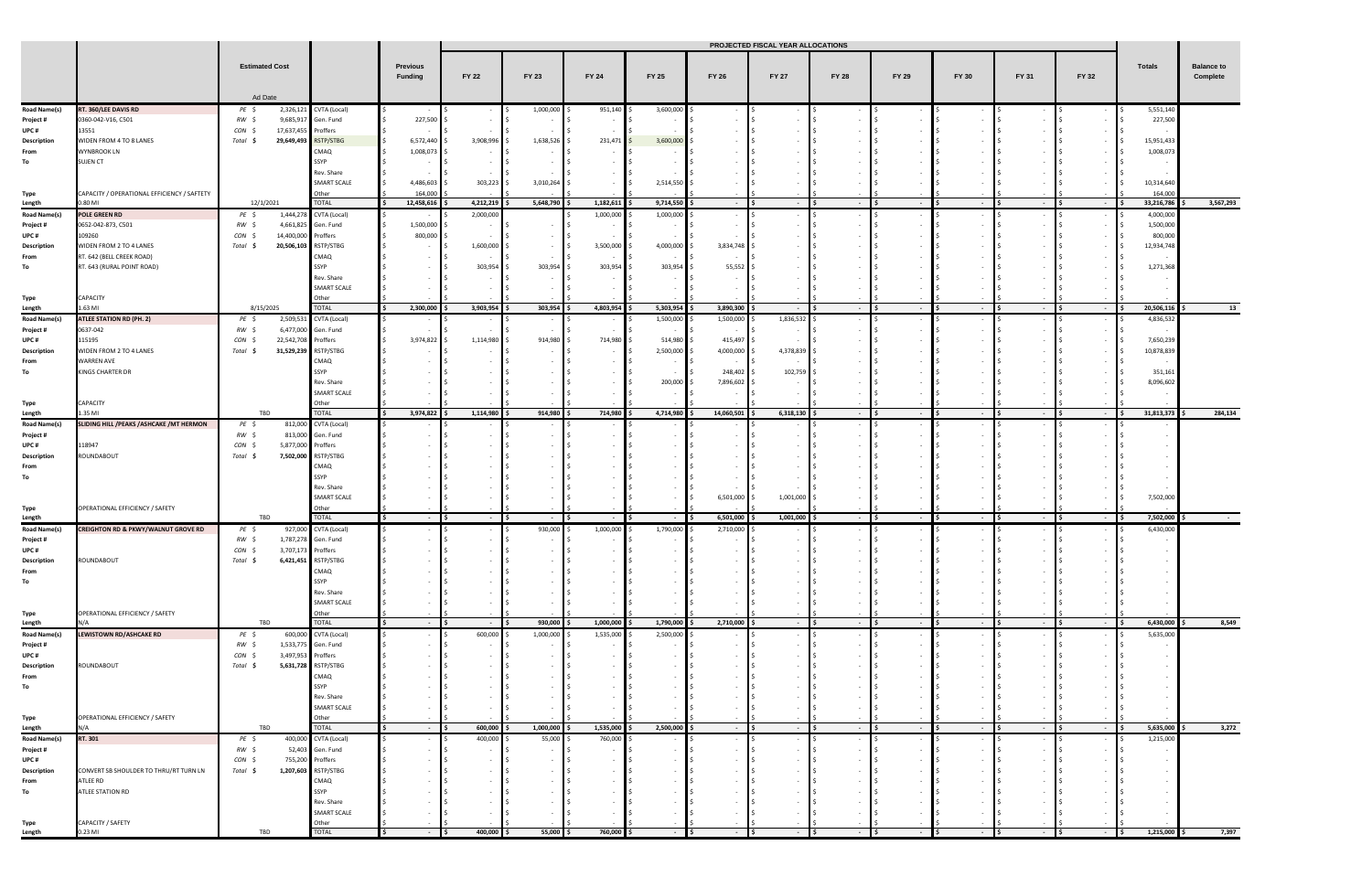|                               |                                                | <b>Estimated Cost</b>        |                     | Ad Date                                 |              |                              |                      | PROJECTED FISCAL YEAR ALLOCATIONS |                        |               |                |                                   |             |                          |        |                          |                          |           |                     |              |       |       |              |              |              |              |              |       |       |              |        |                               |
|-------------------------------|------------------------------------------------|------------------------------|---------------------|-----------------------------------------|--------------|------------------------------|----------------------|-----------------------------------|------------------------|---------------|----------------|-----------------------------------|-------------|--------------------------|--------|--------------------------|--------------------------|-----------|---------------------|--------------|-------|-------|--------------|--------------|--------------|--------------|--------------|-------|-------|--------------|--------|-------------------------------|
|                               |                                                |                              |                     |                                         |              |                              |                      |                                   |                        |               |                |                                   |             |                          |        |                          |                          |           | Previous<br>Funding | <b>FY 22</b> | FY 23 | FY 24 | <b>FY 25</b> | <b>FY 26</b> | <b>FY 27</b> | <b>FY 28</b> | <b>FY 29</b> | FY 30 | FY 31 | <b>FY 32</b> | Totals | <b>Balance to</b><br>Complete |
|                               |                                                |                              |                     |                                         |              |                              |                      |                                   |                        |               |                |                                   |             |                          |        |                          |                          |           |                     |              |       |       |              |              |              |              |              |       |       |              |        |                               |
| <b>Road Name(s)</b>           | RT. 360/LEE DAVIS RD                           | PE \$                        |                     | 2,326,121 CVTA (Local)                  |              |                              | 1,000,000            | 951,140                           | 3,600,000              | . <b>IS</b>   |                |                                   |             |                          |        | $\overline{\phantom{a}}$ | 5,551,140                |           |                     |              |       |       |              |              |              |              |              |       |       |              |        |                               |
| Project #                     | 0360-042-V16, C501                             | RW \$                        |                     | 9,685,917 Gen. Fund                     | 227,500      |                              |                      | $\sim$                            |                        |               |                |                                   |             |                          |        |                          | 227,500                  |           |                     |              |       |       |              |              |              |              |              |       |       |              |        |                               |
| UPC#                          | 13551                                          | CON                          | 17,637,455 Proffers |                                         |              |                              |                      |                                   |                        |               |                |                                   |             |                          |        |                          |                          |           |                     |              |       |       |              |              |              |              |              |       |       |              |        |                               |
| Description                   | WIDEN FROM 4 TO 8 LANES                        | Total \$                     |                     | 29,649,493 RSTP/STBG                    | 6,572,440 \$ | 3,908,996                    | 1,638,526 \$         | 231,471                           | $3,600,000$ \$         |               |                |                                   |             |                          |        |                          | 15,951,433               |           |                     |              |       |       |              |              |              |              |              |       |       |              |        |                               |
| From                          | <b>WYNBROOK LN</b>                             |                              |                     | CMAQ                                    | 1,008,073    |                              |                      |                                   |                        |               |                |                                   |             |                          |        |                          | 1,008,073                |           |                     |              |       |       |              |              |              |              |              |       |       |              |        |                               |
| To                            | SUJEN CT                                       |                              |                     | SSYP<br>Rev. Share                      |              |                              |                      |                                   |                        |               |                |                                   |             |                          |        |                          | $\overline{\phantom{a}}$ |           |                     |              |       |       |              |              |              |              |              |       |       |              |        |                               |
|                               |                                                |                              |                     | SMART SCALE                             | 4,486,603    | 303,223                      | 3,010,264 \$         |                                   | 2,514,550 \$           |               |                |                                   |             |                          |        |                          | 10,314,640               |           |                     |              |       |       |              |              |              |              |              |       |       |              |        |                               |
| Type                          | CAPACITY / OPERATIONAL EFFICIENCY / SAFTETY    |                              |                     | Other                                   | 164,000      |                              |                      |                                   |                        |               |                |                                   |             |                          |        |                          | 164,000                  |           |                     |              |       |       |              |              |              |              |              |       |       |              |        |                               |
| Length                        | 0.80 MI                                        | 12/1/2021                    |                     | <b>TOTAL</b>                            | 12,458,616   | 4,212,219                    | 5,648,790            | 1,182,611                         | 9,714,550              | $-$ IS        | $\sim$ $-$     | $\blacksquare$<br>$ \sqrt{5}$     | $\sim$      | $\sim$                   | $\sim$ | $\sim$                   | 33,216,786               | 3,567,293 |                     |              |       |       |              |              |              |              |              |       |       |              |        |                               |
| <b>Road Name(s)</b>           | <b>POLE GREEN RD</b>                           | PE \$                        |                     | 1,444,278 CVTA (Local)                  |              | 2,000,000                    |                      | 1,000,000                         | 1,000,000 \$           |               |                |                                   |             |                          |        |                          | 4,000,000                |           |                     |              |       |       |              |              |              |              |              |       |       |              |        |                               |
| Project #                     | 0652-042-873, C501                             | $RW \leq$<br>CON S           |                     | 4,661,825 Gen. Fund                     | 1,500,000    |                              |                      |                                   |                        |               |                |                                   |             |                          |        |                          | 1,500,000                |           |                     |              |       |       |              |              |              |              |              |       |       |              |        |                               |
| UPC#<br>Description           | 109260<br>WIDEN FROM 2 TO 4 LANES              | Total \$                     | 14,400,000 Proffers | 20,506,103 RSTP/STBG                    | 800,000      | 1,600,000                    | $\sim$               | 3,500,000                         | 4,000,000 \$           | 3,834,748     |                |                                   |             |                          |        |                          | 800,000<br>12,934,748    |           |                     |              |       |       |              |              |              |              |              |       |       |              |        |                               |
| From                          | RT. 642 (BELL CREEK ROAD)                      |                              |                     | CMAQ                                    |              |                              |                      |                                   |                        |               |                |                                   |             |                          |        |                          |                          |           |                     |              |       |       |              |              |              |              |              |       |       |              |        |                               |
| To                            | RT. 643 (RURAL POINT ROAD)                     |                              |                     | SSYP                                    |              | 303,954                      | 303,954              | 303,954                           | 303,954                | 55,552        |                |                                   |             |                          |        |                          | 1,271,368                |           |                     |              |       |       |              |              |              |              |              |       |       |              |        |                               |
|                               |                                                |                              |                     | Rev. Share                              |              |                              |                      |                                   |                        |               |                |                                   |             |                          |        |                          |                          |           |                     |              |       |       |              |              |              |              |              |       |       |              |        |                               |
|                               |                                                |                              |                     | SMART SCALE                             |              |                              |                      |                                   |                        |               |                |                                   |             |                          |        |                          |                          |           |                     |              |       |       |              |              |              |              |              |       |       |              |        |                               |
| Type<br>Length                | CAPACITY<br>1.63 MI                            | 8/15/2025                    |                     | Other<br><b>TOTAL</b>                   | 2,300,000    | 3,903,954                    | 303,954 \$           | 4,803,954                         | $5,303,954$ \$         | 3,890,300 \$  | $\sim$         | $ \frac{15}{2}$<br>$\blacksquare$ | $ \sqrt{5}$ | $\sim$                   | $-15$  | $\sim$                   | 20,506,116               | 13        |                     |              |       |       |              |              |              |              |              |       |       |              |        |                               |
| <b>Road Name(s)</b>           | <b>ATLEE STATION RD (PH. 2)</b>                | PE \$                        |                     | 2,509,531 CVTA (Local)                  |              |                              |                      |                                   | 1,500,000              | 1,500,000     | 1,836,532 \$   |                                   |             |                          |        |                          | 4,836,532                |           |                     |              |       |       |              |              |              |              |              |       |       |              |        |                               |
| Project #                     | 0637-042                                       | RW \$                        |                     | 6,477,000 Gen. Fund                     |              |                              |                      |                                   |                        |               |                |                                   |             |                          |        |                          |                          |           |                     |              |       |       |              |              |              |              |              |       |       |              |        |                               |
| UPC#                          | 115195                                         | CON                          | 22,542,708          | Proffers                                | 3,974,822    | 1,114,980                    | 914,980              | 714,980                           | 514,980                | 415,497       |                |                                   |             |                          |        |                          | 7,650,239                |           |                     |              |       |       |              |              |              |              |              |       |       |              |        |                               |
| Description                   | WIDEN FROM 2 TO 4 LANES                        | Total \$                     |                     | 31,529,239 RSTP/STBG                    |              |                              |                      | $\overline{\phantom{a}}$          | 2,500,000 \$           | 4,000,000     | 4,378,839      |                                   |             |                          |        |                          | 10,878,839               |           |                     |              |       |       |              |              |              |              |              |       |       |              |        |                               |
| From<br>To                    | <b>WARREN AVE</b><br>KINGS CHARTER DR          |                              |                     | CMAQ<br>SSYP                            |              |                              |                      |                                   |                        | 248,402 \$    | 102,759        |                                   |             |                          |        |                          | 351,161                  |           |                     |              |       |       |              |              |              |              |              |       |       |              |        |                               |
|                               |                                                |                              |                     | Rev. Share                              |              |                              |                      |                                   | 200,000 \$             | 7,896,602 \$  |                |                                   |             |                          |        |                          | 8,096,602                |           |                     |              |       |       |              |              |              |              |              |       |       |              |        |                               |
|                               |                                                |                              |                     | SMART SCALE                             |              |                              |                      |                                   |                        |               |                |                                   |             |                          |        |                          |                          |           |                     |              |       |       |              |              |              |              |              |       |       |              |        |                               |
| Type                          | CAPACITY                                       |                              |                     | Other                                   |              |                              |                      |                                   |                        |               |                |                                   |             |                          |        |                          |                          |           |                     |              |       |       |              |              |              |              |              |       |       |              |        |                               |
| Length                        | 1.35 MI                                        | TBD                          |                     | TOTAL                                   | 3,974,822    | 1,114,980                    | 914,980 \$           | 714,980                           | 4,714,980              | 14,060,501    | $6,318,130$ \$ | $-15$                             | $ \sqrt{5}$ | $\sim$                   | - 15   | $\sim$                   | 31,813,373               | 284,134   |                     |              |       |       |              |              |              |              |              |       |       |              |        |                               |
| <b>Road Name(s)</b>           | SLIDING HILL / PEAKS / ASHCAKE / MT HERMON     | PE \$<br>RW \$               | 813,000             | 812,000 CVTA (Local)                    |              |                              |                      |                                   |                        |               |                |                                   |             |                          |        |                          |                          |           |                     |              |       |       |              |              |              |              |              |       |       |              |        |                               |
| Project #<br>UPC#             | 118947                                         | CON \$                       | 5,877,000 Proffers  | Gen. Fund                               |              |                              |                      |                                   |                        |               |                |                                   |             |                          |        |                          |                          |           |                     |              |       |       |              |              |              |              |              |       |       |              |        |                               |
| Description                   | ROUNDABOUT                                     | Total \$                     |                     | 7,502,000 RSTP/STBG                     |              |                              |                      |                                   |                        |               |                |                                   |             |                          |        |                          |                          |           |                     |              |       |       |              |              |              |              |              |       |       |              |        |                               |
| From                          |                                                |                              |                     | CMAQ                                    |              |                              |                      |                                   |                        |               |                |                                   |             |                          |        |                          |                          |           |                     |              |       |       |              |              |              |              |              |       |       |              |        |                               |
| To                            |                                                |                              |                     | SSYP                                    |              |                              |                      |                                   |                        |               |                |                                   |             |                          |        |                          |                          |           |                     |              |       |       |              |              |              |              |              |       |       |              |        |                               |
|                               |                                                |                              |                     | Rev. Share                              |              |                              |                      |                                   |                        |               |                |                                   |             |                          |        |                          |                          |           |                     |              |       |       |              |              |              |              |              |       |       |              |        |                               |
|                               | OPERATIONAL EFFICIENCY / SAFETY                |                              |                     | SMART SCALE<br>Other                    |              |                              |                      |                                   |                        | 6,501,000 \$  | 1,001,000      |                                   |             |                          |        |                          | 7,502,000                |           |                     |              |       |       |              |              |              |              |              |       |       |              |        |                               |
| Type<br>Length                |                                                | TBD                          |                     | <b>TOTAL</b>                            |              |                              |                      |                                   |                        | 6,501,000     | 1,001,000 \$   | $-$ IS                            | $\sim$      | $\overline{\phantom{a}}$ | $\sim$ | $\sim$                   | 7,502,000                |           |                     |              |       |       |              |              |              |              |              |       |       |              |        |                               |
| <b>Road Name(s)</b>           | <b>CREIGHTON RD &amp; PKWY/WALNUT GROVE RD</b> | PE \$                        |                     | 927,000 CVTA (Local)                    |              |                              | 930,000              | 1,000,000                         | 1,790,000              | 2,710,000 \$  |                |                                   |             |                          |        |                          | 6,430,000                |           |                     |              |       |       |              |              |              |              |              |       |       |              |        |                               |
| Project #                     |                                                | RW \$                        |                     | 1,787,278 Gen. Fund                     |              |                              |                      |                                   |                        |               |                |                                   |             |                          |        |                          |                          |           |                     |              |       |       |              |              |              |              |              |       |       |              |        |                               |
| UPC#                          |                                                | CON \$                       | 3,707,173 Proffers  |                                         |              |                              |                      |                                   |                        |               |                |                                   |             |                          |        |                          |                          |           |                     |              |       |       |              |              |              |              |              |       |       |              |        |                               |
| Description                   | ROUNDABOUT                                     | Total \$                     |                     | 6,421,451 RSTP/STBG<br>CMAQ             |              |                              |                      |                                   |                        |               |                |                                   |             |                          |        |                          |                          |           |                     |              |       |       |              |              |              |              |              |       |       |              |        |                               |
| From<br>To                    |                                                |                              |                     | SSYP                                    |              |                              |                      |                                   |                        |               |                |                                   |             |                          |        |                          |                          |           |                     |              |       |       |              |              |              |              |              |       |       |              |        |                               |
|                               |                                                |                              |                     | Rev. Share                              |              |                              |                      |                                   |                        |               |                |                                   |             |                          |        |                          |                          |           |                     |              |       |       |              |              |              |              |              |       |       |              |        |                               |
|                               |                                                |                              |                     | SMART SCALE                             |              |                              |                      |                                   |                        |               |                |                                   |             |                          |        |                          |                          |           |                     |              |       |       |              |              |              |              |              |       |       |              |        |                               |
| Type                          | OPERATIONAL EFFICIENCY / SAFETY                |                              |                     | Other                                   |              |                              |                      |                                   |                        |               |                |                                   |             |                          |        |                          |                          |           |                     |              |       |       |              |              |              |              |              |       |       |              |        |                               |
| Length<br><b>Road Name(s)</b> | N/A<br><b>LEWISTOWN RD/ASHCAKE RD</b>          | TBD<br>$PE$ \$               |                     | <b>TOTAL</b><br>600,000 CVTA (Local)    | $\sim$       | l s<br>$\sim$ $-$<br>600,000 | 930,000<br>1,000,000 | 1,000,000<br>1,535,000            | 1,790,000<br>2,500,000 | 2,710,000 \$  | $-$ \$         | $ \vert$ \$                       | $ \vert$ \$ | $\sim$                   | $\sim$ | $\sim$<br>$\sim$         | 6,430,000<br>5,635,000   | 8,549     |                     |              |       |       |              |              |              |              |              |       |       |              |        |                               |
| Project #                     |                                                | $RW \leq$                    |                     | 1,533,775 Gen. Fund                     |              |                              |                      |                                   |                        | $\sim$        |                |                                   |             |                          |        | $\sim$                   |                          |           |                     |              |       |       |              |              |              |              |              |       |       |              |        |                               |
| UPC#                          |                                                | CON \$                       | 3,497,953 Proffers  |                                         |              |                              |                      |                                   |                        |               |                |                                   |             |                          |        |                          |                          |           |                     |              |       |       |              |              |              |              |              |       |       |              |        |                               |
| Description                   | ROUNDABOUT                                     | Total \$                     |                     | 5,631,728 RSTP/STBG                     |              |                              |                      |                                   |                        | $\sim$        |                |                                   |             |                          |        |                          |                          |           |                     |              |       |       |              |              |              |              |              |       |       |              |        |                               |
| From                          |                                                |                              |                     | CMAQ                                    |              |                              |                      |                                   |                        |               |                |                                   |             |                          |        |                          |                          |           |                     |              |       |       |              |              |              |              |              |       |       |              |        |                               |
| To                            |                                                |                              |                     | SSYP                                    |              |                              |                      |                                   |                        |               |                |                                   |             |                          |        |                          |                          |           |                     |              |       |       |              |              |              |              |              |       |       |              |        |                               |
|                               |                                                |                              |                     | Rev. Share<br>SMART SCALE               |              |                              |                      |                                   |                        |               |                |                                   |             |                          |        |                          |                          |           |                     |              |       |       |              |              |              |              |              |       |       |              |        |                               |
| Type                          | OPERATIONAL EFFICIENCY / SAFETY                |                              |                     | Other                                   |              |                              |                      |                                   |                        |               |                |                                   |             |                          |        |                          |                          |           |                     |              |       |       |              |              |              |              |              |       |       |              |        |                               |
| Length                        | N/A                                            | TBD                          |                     | <b>TOTAL</b>                            | $\sim$       | 600,000                      | 1,000,000            | 1,535,000                         | 2,500,000              | $-5$          | $-5$           | $-15$                             | $\sim$      | $\sim$                   | $\sim$ | $\sim$                   | 5,635,000                | 3,272     |                     |              |       |       |              |              |              |              |              |       |       |              |        |                               |
| <b>Road Name(s)</b>           | RT. 301                                        | $PE$ \$                      |                     | 400,000 CVTA (Local)                    |              | 400,000                      | 55,000               | 760,000                           |                        | $-15$         |                |                                   |             |                          |        |                          | 1,215,000                |           |                     |              |       |       |              |              |              |              |              |       |       |              |        |                               |
| Project #                     |                                                | RW \$                        |                     | 52,403 Gen. Fund                        |              |                              |                      |                                   |                        | $\sim$        | $\sim$         |                                   |             |                          |        |                          |                          |           |                     |              |       |       |              |              |              |              |              |       |       |              |        |                               |
| UPC#<br>Description           | CONVERT SB SHOULDER TO THRU/RT TURN LN         | CON <sub>5</sub><br>Total \$ |                     | 755,200 Proffers<br>1,207,603 RSTP/STBG |              |                              |                      |                                   |                        | $\sim$        |                |                                   |             |                          |        |                          |                          |           |                     |              |       |       |              |              |              |              |              |       |       |              |        |                               |
| From                          | ATLEE RD                                       |                              |                     | CMAQ                                    |              |                              |                      |                                   |                        |               |                |                                   |             |                          |        |                          |                          |           |                     |              |       |       |              |              |              |              |              |       |       |              |        |                               |
| To                            | ATLEE STATION RD                               |                              |                     | SSYP                                    |              |                              |                      |                                   |                        |               |                |                                   |             |                          |        |                          |                          |           |                     |              |       |       |              |              |              |              |              |       |       |              |        |                               |
|                               |                                                |                              |                     | Rev. Share                              |              |                              |                      |                                   |                        |               |                |                                   |             |                          |        |                          |                          |           |                     |              |       |       |              |              |              |              |              |       |       |              |        |                               |
|                               |                                                |                              |                     | SMART SCALE                             |              |                              |                      |                                   |                        |               |                |                                   |             |                          |        |                          |                          |           |                     |              |       |       |              |              |              |              |              |       |       |              |        |                               |
| Type<br>Length                | CAPACITY / SAFETY<br>0.23 MI                   | TBD                          |                     | Other<br><b>TOTAL</b>                   |              | 400,000                      | $55,000$ \$          | 760,000                           | $\sim$                 | I S<br>$\sim$ | $\sim$         | $\blacksquare$<br>$\sim$          |             |                          |        | $\sim$                   | 1,215,000                | 7,397     |                     |              |       |       |              |              |              |              |              |       |       |              |        |                               |
|                               |                                                |                              |                     |                                         |              |                              |                      |                                   |                        |               |                |                                   |             |                          |        |                          |                          |           |                     |              |       |       |              |              |              |              |              |       |       |              |        |                               |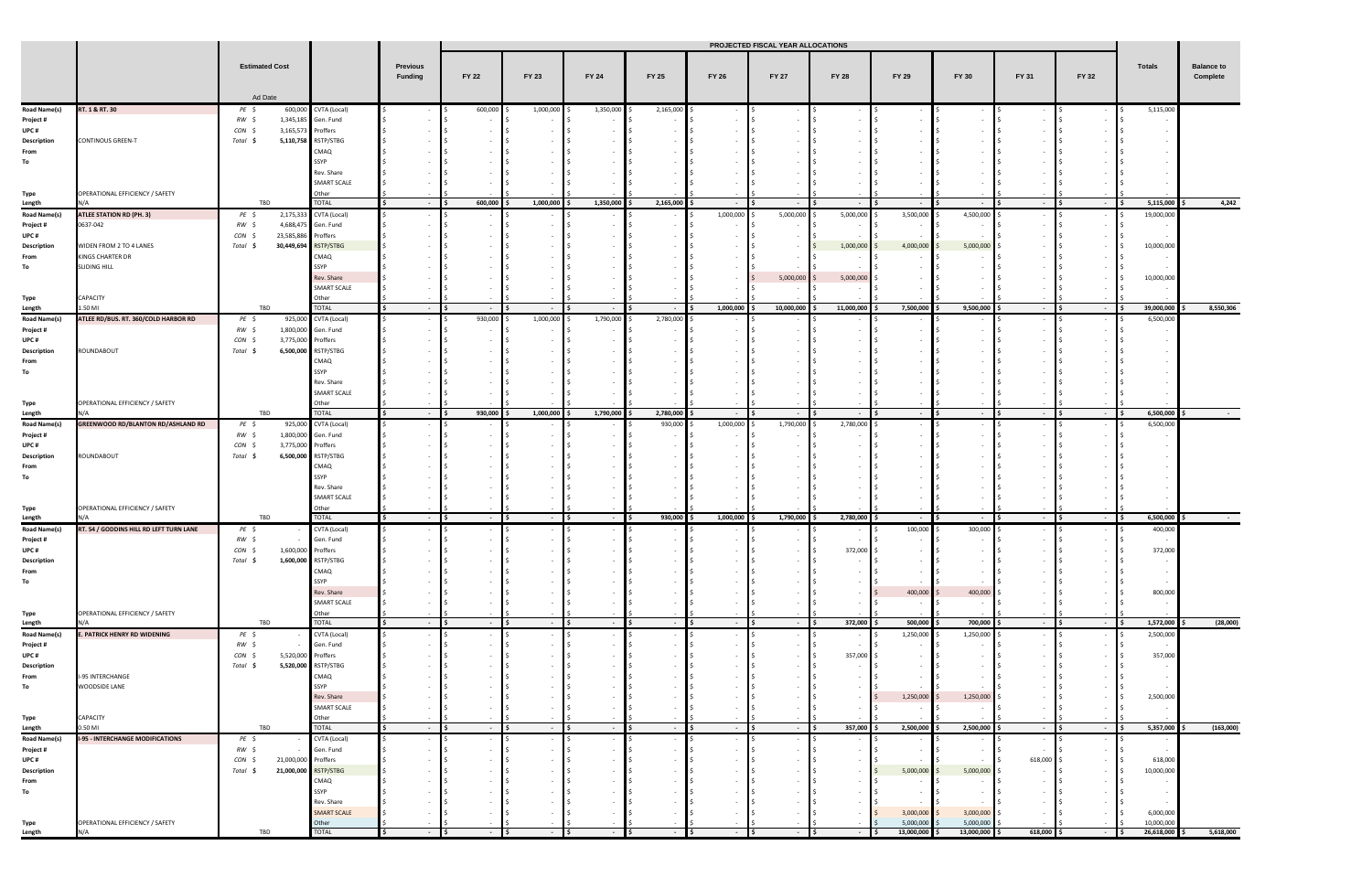|                                  |                                           | <b>Estimated Cost</b> |                      |                             |        | PROJECTED FISCAL YEAR ALLOCATIONS |           |           |                            |                         |            |                                   |                |              |                         |                          |              |              |       |       |
|----------------------------------|-------------------------------------------|-----------------------|----------------------|-----------------------------|--------|-----------------------------------|-----------|-----------|----------------------------|-------------------------|------------|-----------------------------------|----------------|--------------|-------------------------|--------------------------|--------------|--------------|-------|-------|
|                                  |                                           |                       |                      | Ad Date                     |        |                                   |           |           | Previous<br><b>Funding</b> | <b>FY 22</b>            | FY 23      | FY 24                             | FY 25          | <b>FY 26</b> | <b>FY 27</b>            | <b>FY 28</b>             | <b>FY 29</b> | <b>FY 30</b> | FY 31 | FY 32 |
|                                  |                                           |                       |                      |                             |        |                                   |           |           |                            |                         |            |                                   |                |              |                         |                          |              |              |       |       |
| <b>Road Name(s)</b>              | RT. 1 & RT. 30                            | PE \$                 |                      | 600,000 CVTA (Local)        |        | 600,000                           | 1,000,000 | 1,350,000 | 2,165,000                  |                         |            |                                   |                | l S          |                         |                          | 5,115,000    |              |       |       |
| Project #<br>UPC#                |                                           | RW \$<br>CON \$       | 3,165,573 Proffers   | 1,345,185 Gen. Fund         |        |                                   |           |           |                            |                         |            |                                   |                |              |                         |                          |              |              |       |       |
| Description                      | <b>CONTINOUS GREEN-T</b>                  | Total \$              |                      | 5,110,758 RSTP/STBG         |        |                                   |           |           |                            |                         |            |                                   |                |              |                         |                          |              |              |       |       |
| From                             |                                           |                       |                      | CMAQ                        |        |                                   |           |           |                            |                         |            |                                   |                |              |                         |                          |              |              |       |       |
| To                               |                                           |                       |                      | SSYP                        |        |                                   |           |           |                            |                         |            |                                   |                |              |                         |                          |              |              |       |       |
|                                  |                                           |                       |                      | Rev. Share                  |        |                                   |           |           |                            |                         |            |                                   |                |              |                         |                          |              |              |       |       |
|                                  |                                           |                       |                      | SMART SCALE                 |        |                                   |           |           |                            |                         |            |                                   |                |              |                         |                          |              |              |       |       |
| Type                             | OPERATIONAL EFFICIENCY / SAFETY           |                       |                      | Other                       |        |                                   |           |           |                            |                         |            |                                   |                |              |                         |                          |              |              |       |       |
| Length                           |                                           | TBD                   |                      | <b>TOTAL</b>                | $\sim$ | 600,000                           | 1,000,000 | 1,350,000 | 2,165,000                  | <b>Contract</b>         | $\sim$ $-$ | $\sim$ $-$                        |                | $\sim$       | - IS                    | $\sim 100$               | 5,115,000    | 4,242        |       |       |
| <b>Road Name(s)</b>              | <b>ATLEE STATION RD (PH. 3)</b>           | PE \$                 |                      | 2,175,333 CVTA (Local)      |        |                                   |           |           |                            | 1,000,000               | 5,000,000  | 5,000,000                         | 3,500,000      | 4,500,000    |                         |                          | 19,000,000   |              |       |       |
| Project #                        | 0637-042                                  | RW \$                 | 4,688,475            | Gen. Fund                   |        |                                   |           |           |                            |                         |            |                                   |                |              |                         |                          |              |              |       |       |
| UPC#                             |                                           | CON \$                | 23,585,886           | Proffers                    |        |                                   |           |           |                            |                         |            |                                   |                |              |                         |                          |              |              |       |       |
| Description                      | WIDEN FROM 2 TO 4 LANES                   | Total \$              | 30,449,694           | RSTP/STBG                   |        |                                   |           |           |                            |                         |            | 1,000,000                         | 4,000,000      | 5,000,000    |                         |                          | 10,000,000   |              |       |       |
| From                             | KINGS CHARTER DR                          |                       |                      | CMAQ                        |        |                                   |           |           |                            |                         |            |                                   |                |              |                         |                          |              |              |       |       |
| To                               | <b>SLIDING HILL</b>                       |                       |                      | SSYP                        |        |                                   |           |           |                            |                         |            |                                   |                |              |                         |                          |              |              |       |       |
|                                  |                                           |                       |                      | Rev. Share<br>SMART SCALE   |        |                                   |           |           |                            |                         | 5,000,000  | 5,000,000                         |                |              |                         |                          | 10,000,000   |              |       |       |
| Type                             | CAPACITY                                  |                       |                      | Other                       |        |                                   |           |           |                            |                         |            |                                   |                |              |                         |                          |              |              |       |       |
| Length                           | .50 MI                                    | TBD                   |                      | <b>TOTAL</b>                | $\sim$ |                                   | $\sim$    | $\sim$    | $\sim$ $-$                 | 1,000,000               | 10,000,000 | 11,000,000                        | 7,500,000 \$   | 9,500,000 \$ | $ \blacksquare$         | $\sim$ 100 $\pm$         | 39,000,000   | 8,550,306    |       |       |
| <b>Road Name(s)</b>              | ATLEE RD/BUS. RT. 360/COLD HARBOR RD      | PE \$                 |                      | 925,000 CVTA (Local)        |        | 930,000                           | 1,000,000 | 1,790,000 | 2,780,000                  |                         |            |                                   |                |              |                         |                          | 6,500,000    |              |       |       |
| Project #                        |                                           | RW \$                 | 1,800,000            | Gen. Fund                   |        |                                   |           |           |                            |                         |            |                                   |                |              |                         |                          |              |              |       |       |
| UPC#                             |                                           | CON \$                | 3,775,000            | Proffers                    |        |                                   |           |           |                            |                         |            |                                   |                |              |                         |                          |              |              |       |       |
| Description                      | ROUNDABOUT                                | Total \$              | 6,500,000            | RSTP/STBG                   |        |                                   |           |           |                            |                         |            |                                   |                |              |                         |                          |              |              |       |       |
| From                             |                                           |                       |                      | CMAQ                        |        |                                   |           |           |                            |                         |            |                                   |                |              |                         |                          |              |              |       |       |
| To                               |                                           |                       |                      | SSYP                        |        |                                   |           |           |                            |                         |            |                                   |                |              |                         |                          |              |              |       |       |
|                                  |                                           |                       |                      | Rev. Share                  |        |                                   |           |           |                            |                         |            |                                   |                |              |                         |                          |              |              |       |       |
|                                  |                                           |                       |                      | SMART SCALE                 |        |                                   |           |           |                            |                         |            |                                   |                |              |                         |                          |              |              |       |       |
| Type                             | OPERATIONAL EFFICIENCY / SAFETY           |                       |                      | Other<br><b>TOTAL</b>       |        |                                   |           |           |                            |                         |            |                                   |                |              |                         |                          |              |              |       |       |
| Length                           |                                           | TBD                   |                      |                             | $\sim$ | 930,000                           | 1,000,000 | 1,790,000 | 2,780,000                  | $\sim 100$<br>1,000,000 | $\sim$ $-$ | $\sim 10^{-11}$                   | $\sim$         | lis.<br>- IS | - IS                    | $\sim 10^{-10}$          | 6,500,000    |              |       |       |
| <b>Road Name(s)</b><br>Project # | <b>GREENWOOD RD/BLANTON RD/ASHLAND RD</b> | PE \$<br>RW \$        | 925,000<br>1,800,000 | CVTA (Local)<br>Gen. Fund   |        |                                   |           |           | 930,000                    |                         | 1,790,000  | 2,780,000                         |                |              |                         |                          | 6,500,000    |              |       |       |
| UPC #                            |                                           | CON \$                | 3,775,000 Proffers   |                             |        |                                   |           |           |                            |                         |            |                                   |                |              |                         |                          |              |              |       |       |
| Description                      | ROUNDABOUT                                | Total \$              | 6,500,000            | RSTP/STBG                   |        |                                   |           |           |                            |                         |            |                                   |                |              |                         |                          |              |              |       |       |
| From                             |                                           |                       |                      | CMAQ                        |        |                                   |           |           |                            |                         |            |                                   |                |              |                         |                          |              |              |       |       |
| To                               |                                           |                       |                      | SSYP                        |        |                                   |           |           |                            |                         |            |                                   |                |              |                         |                          |              |              |       |       |
|                                  |                                           |                       |                      | Rev. Share                  |        |                                   |           |           |                            |                         |            |                                   |                |              |                         |                          |              |              |       |       |
|                                  |                                           |                       |                      | SMART SCALE                 |        |                                   |           |           |                            |                         |            |                                   |                |              |                         |                          |              |              |       |       |
| Type                             | OPERATIONAL EFFICIENCY / SAFETY           |                       |                      | Other                       |        |                                   |           |           |                            |                         |            |                                   |                |              |                         |                          |              |              |       |       |
| Length                           |                                           | TBD                   |                      | TOTAL                       |        |                                   |           |           | 930,000                    | 1,000,000               | 1,790,000  | 2,780,000                         |                |              |                         | $\sim$                   | 6,500,000    |              |       |       |
| <b>Road Name(s)</b>              | RT. 54 / GODDINS HILL RD LEFT TURN LANE   | PE \$                 |                      | CVTA (Local)                |        |                                   |           |           |                            |                         |            |                                   | 100,000        | 300,000 \$   |                         |                          | 400,000      |              |       |       |
| Project #                        |                                           | RW \$                 |                      | Gen. Fund                   |        |                                   |           |           |                            |                         |            |                                   |                |              |                         |                          |              |              |       |       |
| UPC#                             |                                           | $CON \S$              | 1,600,000 Proffers   |                             |        |                                   |           |           |                            |                         |            | 372,000 \$                        |                |              |                         |                          | 372,000      |              |       |       |
| Description                      |                                           | Total \$              |                      | 1,600,000 RSTP/STBG         |        |                                   |           |           |                            |                         |            |                                   |                |              |                         |                          |              |              |       |       |
| From<br>To                       |                                           |                       |                      | CMAQ<br>SSYP                |        |                                   |           |           |                            |                         |            |                                   |                |              |                         |                          |              |              |       |       |
|                                  |                                           |                       |                      | Rev. Share                  |        |                                   |           |           |                            |                         |            |                                   | 400,000        | 400,000      |                         |                          | 800,000      |              |       |       |
|                                  |                                           |                       |                      | <b>SMART SCALE</b>          |        |                                   |           |           |                            |                         |            |                                   |                |              |                         |                          |              |              |       |       |
| Type                             | OPERATIONAL EFFICIENCY / SAFETY           |                       |                      | Other                       |        |                                   |           |           |                            |                         |            |                                   |                |              |                         |                          |              |              |       |       |
| Length                           | N/A                                       | TBD                   |                      | <b>TOTAL</b>                | $\sim$ |                                   | $\sim$    | $\sim$    | $\sim$ $-$                 | $\sim$ $-$              | $\sim$ $-$ | 372,000                           | $500,000$ \$   | 700,000      | $\sim$                  | $\sim$                   | 1,572,000    | (28,000)     |       |       |
| <b>Road Name(s)</b>              | . PATRICK HENRY RD WIDENING               | $PE$ \$               |                      | CVTA (Local)                |        |                                   |           |           |                            |                         |            | $\sim$                            | 1,250,000      | 1,250,000    |                         | $\sim$                   | 2,500,000    |              |       |       |
| Project #                        |                                           | RW \$                 |                      | Gen. Fund                   |        |                                   |           |           |                            |                         | $\sim$ $-$ | $\blacksquare$<br>$\sim 10^{-11}$ |                |              |                         | $\sim$                   |              |              |       |       |
| UPC#                             |                                           | $CON \S$              | 5,520,000            | Proffers                    |        |                                   |           |           |                            |                         | $\sim$     | 357,000                           |                |              |                         |                          | 357,000      |              |       |       |
| Description                      |                                           | Total \$              | 5,520,000            | RSTP/STBG                   |        |                                   |           |           |                            |                         | $\sim$     |                                   |                |              |                         |                          |              |              |       |       |
| From                             | I-95 INTERCHANGE                          |                       |                      | CMAQ                        |        |                                   |           |           |                            |                         |            |                                   |                |              |                         |                          |              |              |       |       |
| To                               | WOODSIDE LANE                             |                       |                      | SSYP                        |        |                                   |           |           |                            |                         |            |                                   |                |              |                         |                          |              |              |       |       |
|                                  |                                           |                       |                      | Rev. Share                  |        |                                   |           |           |                            |                         |            |                                   | 1,250,000      | 1,250,000    |                         |                          | 2,500,000    |              |       |       |
| Type                             | CAPACITY                                  |                       |                      | <b>SMART SCALE</b><br>Other |        |                                   |           |           |                            |                         |            |                                   |                |              |                         |                          | $\sim$       |              |       |       |
| Length                           | $0.50$ MI                                 | TBD                   |                      | <b>TOTAL</b>                | $\sim$ | $\sim$ 100 $\sim$                 | $\sim$    | - IS      | $\sim$ $-$                 | $-$ 15                  | $-$ \$     | 357,000                           | 2,500,000      | 2,500,000    | <b>IS</b><br>$\sim$ $-$ | $\sim 10$                | 5,357,000    | (163,000)    |       |       |
| <b>Road Name(s)</b>              | <b>I-95 - INTERCHANGE MODIFICATIONS</b>   | $PE$ \$               |                      | CVTA (Local)                |        |                                   |           |           |                            |                         |            |                                   |                |              |                         | $\sim$                   |              |              |       |       |
| Project #                        |                                           | $RW \simeq$           |                      | Gen. Fund                   |        |                                   |           |           |                            |                         | $\sim$     | $\sim$                            |                |              |                         | $\sim$                   | $\sim$       |              |       |       |
| UPC#                             |                                           | CON \$                | 21,000,000           | Proffers                    |        |                                   |           |           |                            |                         |            |                                   |                |              | 618,000                 | $\sim$                   | 618,000      |              |       |       |
| Description                      |                                           | Total \$              | 21,000,000           | RSTP/STBG                   |        |                                   |           |           |                            |                         |            |                                   | 5,000,000      | 5,000,000    |                         | $\sim$                   | 10,000,000   |              |       |       |
| From                             |                                           |                       |                      | CMAQ                        |        |                                   |           |           |                            |                         |            |                                   |                |              |                         | $\overline{\phantom{a}}$ | $\sim$       |              |       |       |
| To                               |                                           |                       |                      | SSYP                        |        |                                   |           |           |                            |                         |            |                                   |                |              |                         |                          |              |              |       |       |
|                                  |                                           |                       |                      | Rev. Share                  |        |                                   |           |           |                            |                         |            |                                   |                |              |                         |                          |              |              |       |       |
|                                  |                                           |                       |                      | <b>SMART SCALE</b>          |        |                                   |           |           |                            |                         |            |                                   | $3,000,000$ \$ | 3,000,000    |                         |                          | 6,000,000    |              |       |       |
| Type                             | OPERATIONAL EFFICIENCY / SAFETY           |                       |                      | Other<br><b>TOTAL</b>       |        |                                   |           |           |                            |                         |            |                                   | 5,000,000      | 5,000,000    |                         |                          | 10,000,000   |              |       |       |
| Length                           | N/A                                       | TBD                   |                      |                             |        |                                   |           |           |                            |                         |            |                                   | 13,000,000     | 13,000,000   | 618,000                 | $\sim$                   | 26,618,000   | 5,618,000    |       |       |